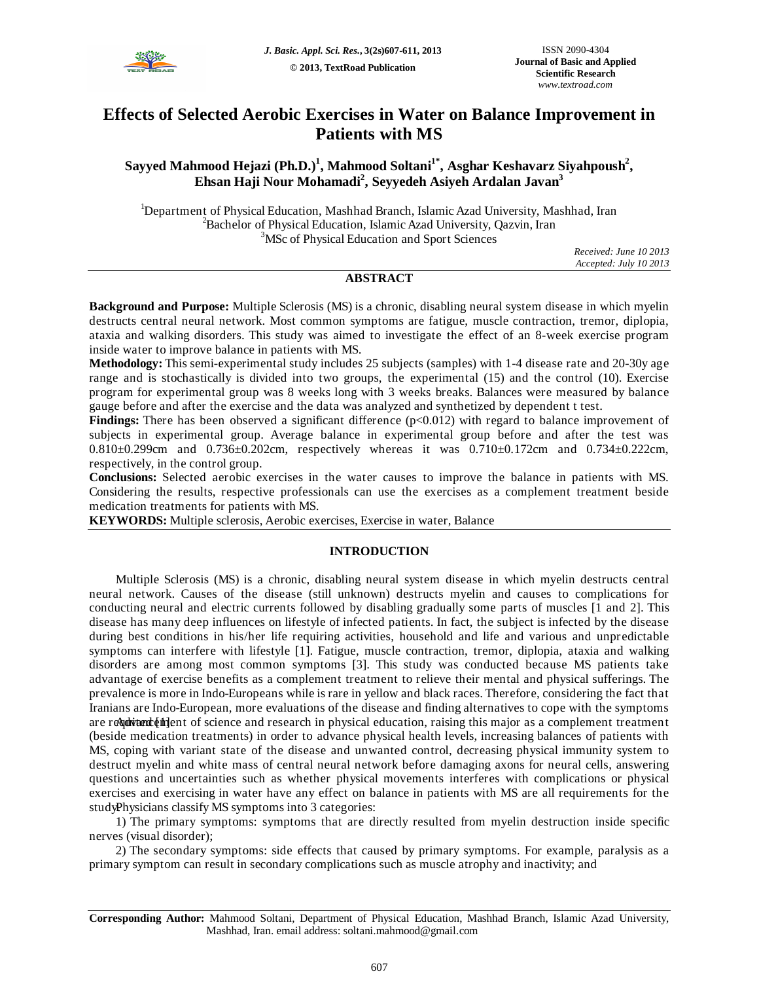

# **Effects of Selected Aerobic Exercises in Water on Balance Improvement in Patients with MS**

## **Sayyed Mahmood Hejazi (Ph.D.)<sup>1</sup> , Mahmood Soltani1\* , Asghar Keshavarz Siyahpoush<sup>2</sup> , Ehsan Haji Nour Mohamadi<sup>2</sup> , Seyyedeh Asiyeh Ardalan Javan<sup>3</sup>**

<sup>1</sup>Department of Physical Education, Mashhad Branch, Islamic Azad University, Mashhad, Iran <sup>2</sup>Bachelor of Physical Education, Islamic Azad University, Qazvin, Iran <sup>3</sup>MSc of Physical Education and Sport Sciences

> *Received: June 10 2013 Accepted: July 10 2013*

## **ABSTRACT**

**Background and Purpose:** Multiple Sclerosis (MS) is a chronic, disabling neural system disease in which myelin destructs central neural network. Most common symptoms are fatigue, muscle contraction, tremor, diplopia, ataxia and walking disorders. This study was aimed to investigate the effect of an 8-week exercise program inside water to improve balance in patients with MS.

**Methodology:** This semi-experimental study includes 25 subjects (samples) with 1-4 disease rate and 20-30y age range and is stochastically is divided into two groups, the experimental (15) and the control (10). Exercise program for experimental group was 8 weeks long with 3 weeks breaks. Balances were measured by balance gauge before and after the exercise and the data was analyzed and synthetized by dependent t test.

Findings: There has been observed a significant difference (p<0.012) with regard to balance improvement of subjects in experimental group. Average balance in experimental group before and after the test was 0.810±0.299cm and 0.736±0.202cm, respectively whereas it was 0.710±0.172cm and 0.734±0.222cm, respectively, in the control group.

**Conclusions:** Selected aerobic exercises in the water causes to improve the balance in patients with MS. Considering the results, respective professionals can use the exercises as a complement treatment beside medication treatments for patients with MS.

**KEYWORDS:** Multiple sclerosis, Aerobic exercises, Exercise in water, Balance

## **INTRODUCTION**

Multiple Sclerosis (MS) is a chronic, disabling neural system disease in which myelin destructs central neural network. Causes of the disease (still unknown) destructs myelin and causes to complications for conducting neural and electric currents followed by disabling gradually some parts of muscles [1 and 2]. This disease has many deep influences on lifestyle of infected patients. In fact, the subject is infected by the disease during best conditions in his/her life requiring activities, household and life and various and unpredictable symptoms can interfere with lifestyle [1]. Fatigue, muscle contraction, tremor, diplopia, ataxia and walking disorders are among most common symptoms [3]. This study was conducted because MS patients take advantage of exercise benefits as a complement treatment to relieve their mental and physical sufferings. The prevalence is more in Indo-Europeans while is rare in yellow and black races. Therefore, considering the fact that Iranians are Indo-European, more evaluations of the disease and finding alternatives to cope with the symptoms are requirent  $\oint$  the Advancement of science and research in physical education, raising this major as a complement treatment (beside medication treatments) in order to advance physical health levels, increasing balances of patients with MS, coping with variant state of the disease and unwanted control, decreasing physical immunity system to destruct myelin and white mass of central neural network before damaging axons for neural cells, answering questions and uncertainties such as whether physical movements interferes with complications or physical exercises and exercising in water have any effect on balance in patients with MS are all requirements for the study. Physicians classify MS symptoms into 3 categories:

1) The primary symptoms: symptoms that are directly resulted from myelin destruction inside specific nerves (visual disorder);

2) The secondary symptoms: side effects that caused by primary symptoms. For example, paralysis as a primary symptom can result in secondary complications such as muscle atrophy and inactivity; and

**Corresponding Author:** Mahmood Soltani, Department of Physical Education, Mashhad Branch, Islamic Azad University, Mashhad, Iran. email address: soltani.mahmood@gmail.com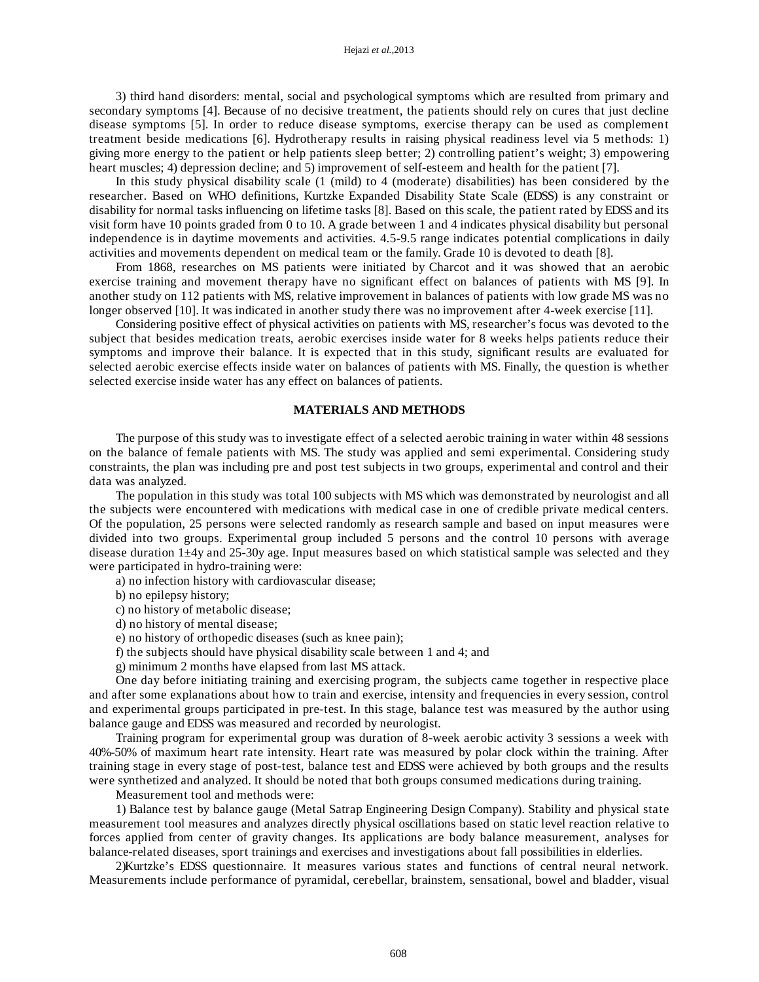3) third hand disorders: mental, social and psychological symptoms which are resulted from primary and secondary symptoms [4]. Because of no decisive treatment, the patients should rely on cures that just decline disease symptoms [5]. In order to reduce disease symptoms, exercise therapy can be used as complement treatment beside medications [6]. Hydrotherapy results in raising physical readiness level via 5 methods: 1) giving more energy to the patient or help patients sleep better; 2) controlling patient's weight; 3) empowering heart muscles; 4) depression decline; and 5) improvement of self-esteem and health for the patient [7].

In this study physical disability scale (1 (mild) to 4 (moderate) disabilities) has been considered by the researcher. Based on WHO definitions, Kurtzke Expanded Disability State Scale (EDSS) is any constraint or disability for normal tasks influencing on lifetime tasks [8]. Based on this scale, the patient rated by EDSS and its visit form have 10 points graded from 0 to 10. A grade between 1 and 4 indicates physical disability but personal independence is in daytime movements and activities. 4.5-9.5 range indicates potential complications in daily activities and movements dependent on medical team or the family. Grade 10 is devoted to death [8].

From 1868, researches on MS patients were initiated by Charcot and it was showed that an aerobic exercise training and movement therapy have no significant effect on balances of patients with MS [9]. In another study on 112 patients with MS, relative improvement in balances of patients with low grade MS was no longer observed [10]. It was indicated in another study there was no improvement after 4-week exercise [11].

Considering positive effect of physical activities on patients with MS, researcher's focus was devoted to the subject that besides medication treats, aerobic exercises inside water for 8 weeks helps patients reduce their symptoms and improve their balance. It is expected that in this study, significant results are evaluated for selected aerobic exercise effects inside water on balances of patients with MS. Finally, the question is whether selected exercise inside water has any effect on balances of patients.

#### **MATERIALS AND METHODS**

The purpose of this study was to investigate effect of a selected aerobic training in water within 48 sessions on the balance of female patients with MS. The study was applied and semi experimental. Considering study constraints, the plan was including pre and post test subjects in two groups, experimental and control and their data was analyzed.

The population in this study was total 100 subjects with MS which was demonstrated by neurologist and all the subjects were encountered with medications with medical case in one of credible private medical centers. Of the population, 25 persons were selected randomly as research sample and based on input measures were divided into two groups. Experimental group included 5 persons and the control 10 persons with average disease duration 1±4y and 25-30y age. Input measures based on which statistical sample was selected and they were participated in hydro-training were:

a) no infection history with cardiovascular disease;

b) no epilepsy history;

c) no history of metabolic disease;

d) no history of mental disease;

e) no history of orthopedic diseases (such as knee pain);

f) the subjects should have physical disability scale between 1 and 4; and

g) minimum 2 months have elapsed from last MS attack.

One day before initiating training and exercising program, the subjects came together in respective place and after some explanations about how to train and exercise, intensity and frequencies in every session, control and experimental groups participated in pre-test. In this stage, balance test was measured by the author using balance gauge and EDSS was measured and recorded by neurologist.

Training program for experimental group was duration of 8-week aerobic activity 3 sessions a week with 40%-50% of maximum heart rate intensity. Heart rate was measured by polar clock within the training. After training stage in every stage of post-test, balance test and EDSS were achieved by both groups and the results were synthetized and analyzed. It should be noted that both groups consumed medications during training.

Measurement tool and methods were:

1) Balance test by balance gauge (Metal Satrap Engineering Design Company). Stability and physical state measurement tool measures and analyzes directly physical oscillations based on static level reaction relative to forces applied from center of gravity changes. Its applications are body balance measurement, analyses for balance-related diseases, sport trainings and exercises and investigations about fall possibilities in elderlies.

2)Kurtzke's EDSS questionnaire. It measures various states and functions of central neural network. Measurements include performance of pyramidal, cerebellar, brainstem, sensational, bowel and bladder, visual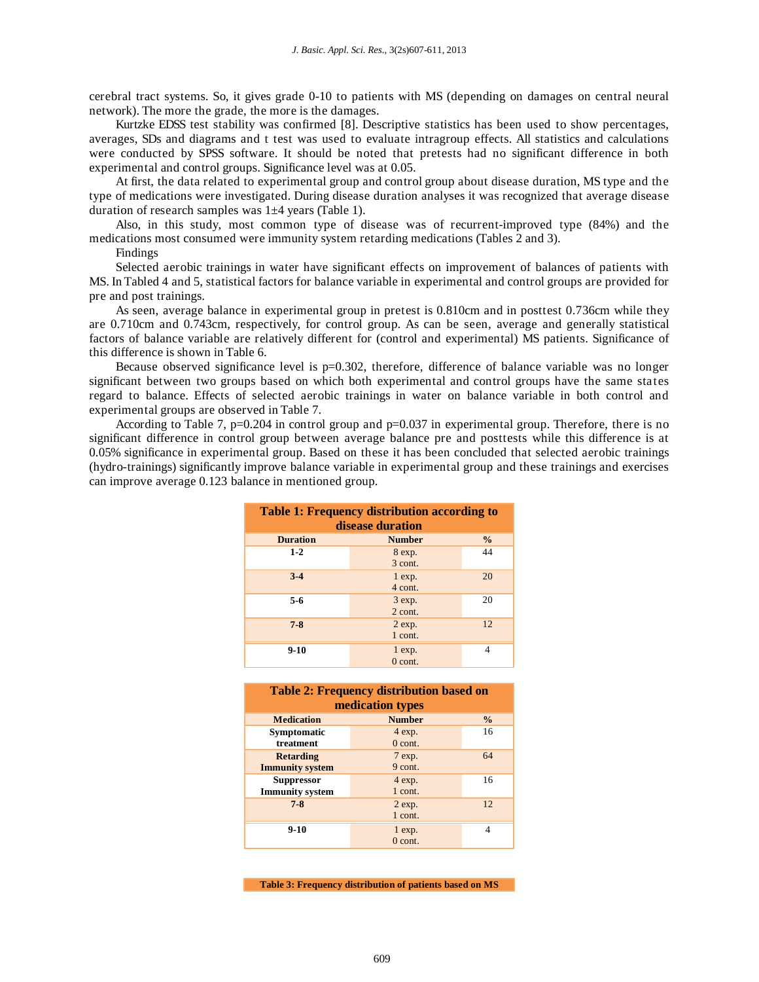cerebral tract systems. So, it gives grade 0-10 to patients with MS (depending on damages on central neural network). The more the grade, the more is the damages.

Kurtzke EDSS test stability was confirmed [8]. Descriptive statistics has been used to show percentages, averages, SDs and diagrams and t test was used to evaluate intragroup effects. All statistics and calculations were conducted by SPSS software. It should be noted that pretests had no significant difference in both experimental and control groups. Significance level was at 0.05.

At first, the data related to experimental group and control group about disease duration, MS type and the type of medications were investigated. During disease duration analyses it was recognized that average disease duration of research samples was 1±4 years (Table 1).

Also, in this study, most common type of disease was of recurrent-improved type (84%) and the medications most consumed were immunity system retarding medications (Tables 2 and 3).

Findings

Selected aerobic trainings in water have significant effects on improvement of balances of patients with MS. In Tabled 4 and 5, statistical factors for balance variable in experimental and control groups are provided for pre and post trainings.

As seen, average balance in experimental group in pretest is 0.810cm and in posttest 0.736cm while they are 0.710cm and 0.743cm, respectively, for control group. As can be seen, average and generally statistical factors of balance variable are relatively different for (control and experimental) MS patients. Significance of this difference is shown in Table 6.

Because observed significance level is  $p=0.302$ , therefore, difference of balance variable was no longer significant between two groups based on which both experimental and control groups have the same states regard to balance. Effects of selected aerobic trainings in water on balance variable in both control and experimental groups are observed in Table 7.

According to Table 7, p=0.204 in control group and p=0.037 in experimental group. Therefore, there is no significant difference in control group between average balance pre and posttests while this difference is at 0.05% significance in experimental group. Based on these it has been concluded that selected aerobic trainings (hydro-trainings) significantly improve balance variable in experimental group and these trainings and exercises can improve average 0.123 balance in mentioned group.

| <b>Table 1: Frequency distribution according to</b><br>disease duration |                         |               |  |  |  |
|-------------------------------------------------------------------------|-------------------------|---------------|--|--|--|
| <b>Duration</b>                                                         | <b>Number</b>           | $\frac{0}{0}$ |  |  |  |
| $1 - 2$                                                                 | 8 exp.<br>3 cont.       | 44            |  |  |  |
| $3-4$                                                                   | $1 \exp$ .<br>4 cont.   | 20            |  |  |  |
| $5-6$                                                                   | $3 \exp$ .<br>$2$ cont. | 20            |  |  |  |
| $7 - 8$                                                                 | $2 \exp$ .<br>1 cont.   | 12            |  |  |  |
| $9 - 10$                                                                | $1 \exp.$<br>$0$ cont.  |               |  |  |  |

| <b>Table 2: Frequency distribution based on</b> |               |               |  |  |  |
|-------------------------------------------------|---------------|---------------|--|--|--|
| medication types                                |               |               |  |  |  |
| <b>Medication</b>                               | <b>Number</b> | $\frac{0}{0}$ |  |  |  |
| Symptomatic                                     | 4 exp.        | 16            |  |  |  |
| treatment                                       | $0$ cont.     |               |  |  |  |
| <b>Retarding</b>                                | $7 \exp$ .    | 64            |  |  |  |
| <b>Immunity system</b>                          | 9 cont.       |               |  |  |  |
| <b>Suppressor</b>                               | 4 exp.        | 16            |  |  |  |
| <b>Immunity</b> system                          | 1 cont.       |               |  |  |  |
| $7 - 8$                                         | $2 \exp$ .    | 12            |  |  |  |
|                                                 | 1 cont.       |               |  |  |  |
| $9-10$                                          | $1 \exp.$     |               |  |  |  |
|                                                 | $0$ cont.     |               |  |  |  |

**Table 3: Frequency distribution of patients based on MS**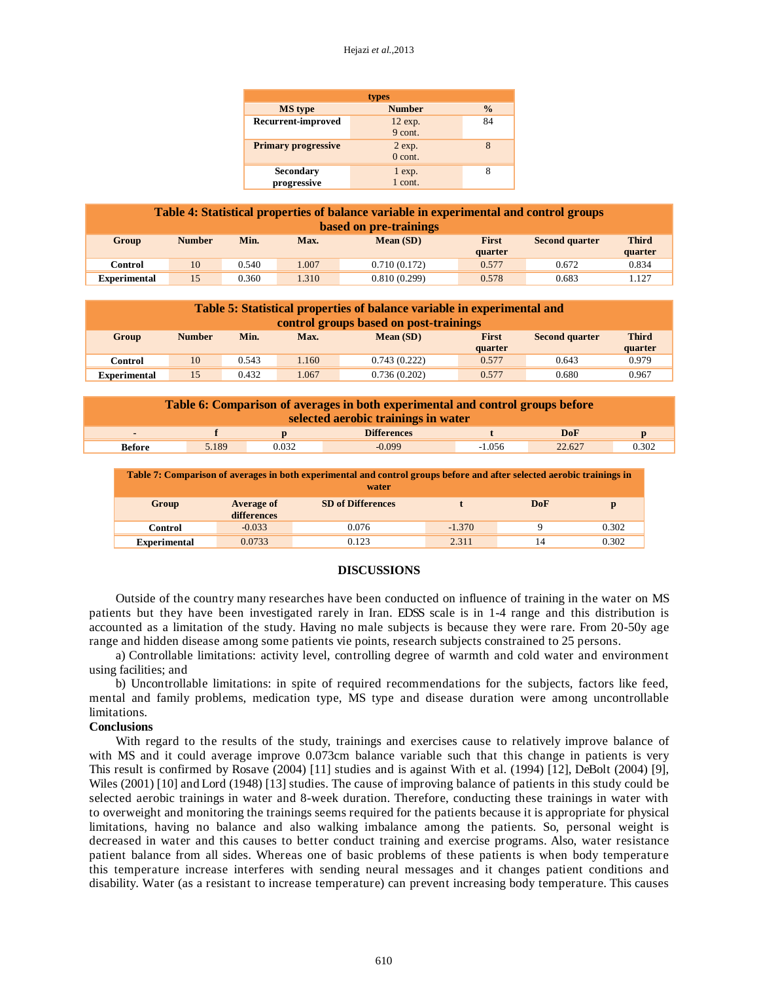#### Hejazi *et al.,*2013

| types                           |                               |               |  |  |  |
|---------------------------------|-------------------------------|---------------|--|--|--|
| <b>MS</b> type                  | <b>Number</b>                 | $\frac{0}{0}$ |  |  |  |
| Recurrent-improved              | 12 exp.<br>9 cont.            | 84            |  |  |  |
| <b>Primary progressive</b>      | $2 \exp$ .<br>$0$ cont.       | 8             |  |  |  |
| <b>Secondary</b><br>progressive | $\frac{1}{1}$ exp.<br>1 cont. |               |  |  |  |

| Table 4: Statistical properties of balance variable in experimental and control groups<br>based on pre-trainings |               |       |       |              |                         |                       |                         |
|------------------------------------------------------------------------------------------------------------------|---------------|-------|-------|--------------|-------------------------|-----------------------|-------------------------|
| Group                                                                                                            | <b>Number</b> | Min.  | Max.  | Mean(SD)     | <b>First</b><br>quarter | <b>Second quarter</b> | <b>Third</b><br>quarter |
| Control                                                                                                          | 10            | 0.540 | 1.007 | 0.710(0.172) | 0.577                   | 0.672                 | 0.834                   |
| <b>Experimental</b>                                                                                              | 15            | 0.360 | 1.310 | 0.810(0.299) | 0.578                   | 0.683                 | 1.127                   |

| Table 5: Statistical properties of balance variable in experimental and<br>control groups based on post-trainings |               |       |       |              |                         |                       |                         |
|-------------------------------------------------------------------------------------------------------------------|---------------|-------|-------|--------------|-------------------------|-----------------------|-------------------------|
| Group                                                                                                             | <b>Number</b> | Min.  | Max.  | Mean(SD)     | <b>First</b><br>quarter | <b>Second quarter</b> | <b>Third</b><br>quarter |
| <b>Control</b>                                                                                                    | 10            | 0.543 | 1.160 | 0.743(0.222) | 0.577                   | 0.643                 | 0.979                   |
| <b>Experimental</b>                                                                                               | 15            | 0.432 | 1.067 | 0.736(0.202) | 0.577                   | 0.680                 | 0.967                   |

| Table 6: Comparison of averages in both experimental and control groups before<br>selected aerobic trainings in water |       |       |                    |          |        |       |
|-----------------------------------------------------------------------------------------------------------------------|-------|-------|--------------------|----------|--------|-------|
| $\blacksquare$                                                                                                        |       |       | <b>Differences</b> |          | DoF    |       |
| <b>Before</b>                                                                                                         | 5.189 | 0.032 | $-0.099$           | $-1.056$ | 22.627 | 0.302 |

| Table 7: Comparison of averages in both experimental and control groups before and after selected aerobic trainings in<br>water |                                  |                          |          |     |       |  |
|---------------------------------------------------------------------------------------------------------------------------------|----------------------------------|--------------------------|----------|-----|-------|--|
| Group                                                                                                                           | <b>Average of</b><br>differences | <b>SD</b> of Differences |          | DoF |       |  |
| Control                                                                                                                         | $-0.033$                         | 0.076                    | $-1.370$ |     | 0.302 |  |

#### **DISCUSSIONS**

**Experimental** 0.0733 0.123 2.311 14 0.302

Outside of the country many researches have been conducted on influence of training in the water on MS patients but they have been investigated rarely in Iran. EDSS scale is in 1-4 range and this distribution is accounted as a limitation of the study. Having no male subjects is because they were rare. From 20-50y age range and hidden disease among some patients vie points, research subjects constrained to 25 persons.

a) Controllable limitations: activity level, controlling degree of warmth and cold water and environment using facilities; and

b) Uncontrollable limitations: in spite of required recommendations for the subjects, factors like feed, mental and family problems, medication type, MS type and disease duration were among uncontrollable limitations.

#### **Conclusions**

With regard to the results of the study, trainings and exercises cause to relatively improve balance of with MS and it could average improve 0.073cm balance variable such that this change in patients is very This result is confirmed by Rosave (2004) [11] studies and is against With et al. (1994) [12], DeBolt (2004) [9], Wiles (2001) [10] and Lord (1948) [13] studies. The cause of improving balance of patients in this study could be selected aerobic trainings in water and 8-week duration. Therefore, conducting these trainings in water with to overweight and monitoring the trainings seems required for the patients because it is appropriate for physical limitations, having no balance and also walking imbalance among the patients. So, personal weight is decreased in water and this causes to better conduct training and exercise programs. Also, water resistance patient balance from all sides. Whereas one of basic problems of these patients is when body temperature this temperature increase interferes with sending neural messages and it changes patient conditions and disability. Water (as a resistant to increase temperature) can prevent increasing body temperature. This causes